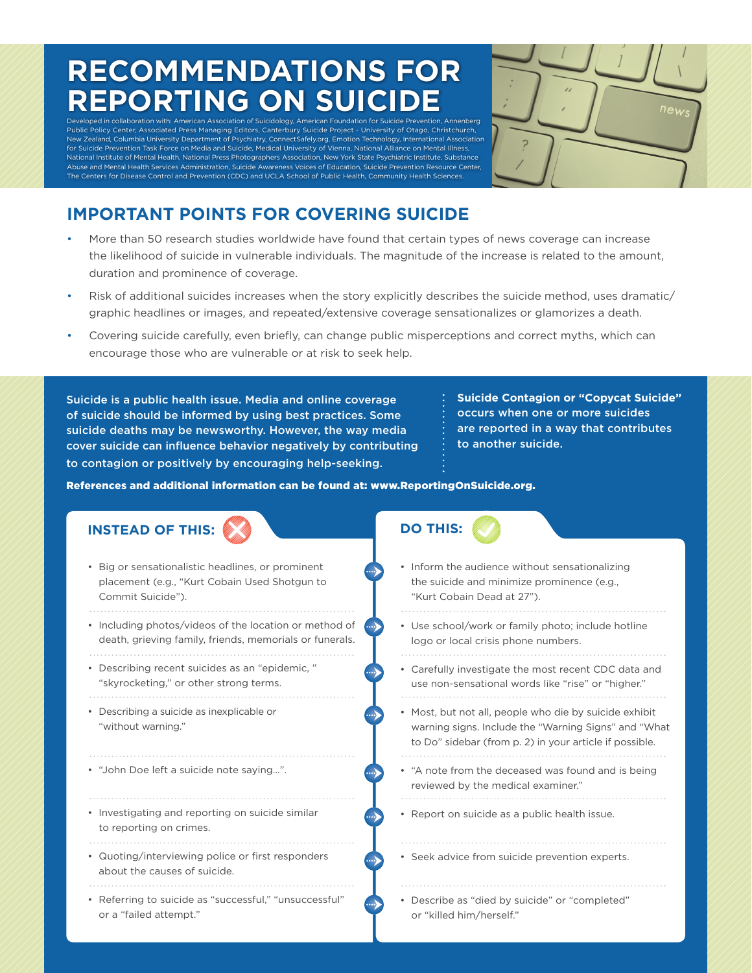# **RECOMMENDATIONS FOR REPORTING ON SUICIDE**

Developed in collaboration with: American Association of Suicidology, American Foundation for Suicide Prevention, Annenberg Public Policy Center, Associated Press Managing Editors, Canterbury Suicide Project - University of Otago, Christchurch, New Zealand, Columbia University Department of Psychiatry, ConnectSafely.org, Emotion Technology, International Association for Suicide Prevention Task Force on Media and Suicide, Medical University of Vienna, National Alliance on Mental Illness, National Institute of Mental Health, National Press Photographers Association, New York State Psychiatric Institute, Substance Abuse and Mental Health Services Administration, Suicide Awareness Voices of Education, Suicide Prevention Resource Center, The Centers for Disease Control and Prevention (CDC) and UCLA School of Public Health, Community Health Sciences.



## **IMPORTANT POINTS FOR COVERING SUICIDE**

- More than 50 research studies worldwide have found that certain types of news coverage can increase the likelihood of suicide in vulnerable individuals. The magnitude of the increase is related to the amount, duration and prominence of coverage.
- Risk of additional suicides increases when the story explicitly describes the suicide method, uses dramatic/ graphic headlines or images, and repeated/extensive coverage sensationalizes or glamorizes a death.
- Covering suicide carefully, even briefly, can change public misperceptions and correct myths, which can encourage those who are vulnerable or at risk to seek help.

Suicide is a public health issue. Media and online coverage of suicide should be informed by using best practices. Some suicide deaths may be newsworthy. However, the way media cover suicide can influence behavior negatively by contributing to contagion or positively by encouraging help-seeking.

**Suicide Contagion or "Copycat Suicide"** occurs when one or more suicides are reported in a way that contributes to another suicide.

References and additional information can be found at: www.ReportingOnSuicide.org.

| <b>INSTEAD OF THIS:</b>                                                                                                 | <b>DO THIS:</b>                                                                                                                                                           |
|-------------------------------------------------------------------------------------------------------------------------|---------------------------------------------------------------------------------------------------------------------------------------------------------------------------|
| • Big or sensationalistic headlines, or prominent<br>placement (e.g., "Kurt Cobain Used Shotgun to<br>Commit Suicide"). | • Inform the audience without sensationalizing<br>the suicide and minimize prominence (e.g.,<br>"Kurt Cobain Dead at 27").                                                |
| • Including photos/videos of the location or method of<br>death, grieving family, friends, memorials or funerals.       | • Use school/work or family photo; include hotline<br>logo or local crisis phone numbers.                                                                                 |
| • Describing recent suicides as an "epidemic,"<br>"skyrocketing," or other strong terms.                                | • Carefully investigate the most recent CDC data and<br>use non-sensational words like "rise" or "higher."                                                                |
| • Describing a suicide as inexplicable or<br>"without warning."                                                         | • Most, but not all, people who die by suicide exhibit<br>warning signs. Include the "Warning Signs" and "What<br>to Do" sidebar (from p. 2) in your article if possible. |
| • "John Doe left a suicide note saying".                                                                                | • "A note from the deceased was found and is being<br>reviewed by the medical examiner."                                                                                  |
| • Investigating and reporting on suicide similar<br>to reporting on crimes.                                             | • Report on suicide as a public health issue.                                                                                                                             |
| • Quoting/interviewing police or first responders<br>about the causes of suicide.                                       | • Seek advice from suicide prevention experts.                                                                                                                            |
| • Referring to suicide as "successful," "unsuccessful"<br>or a "failed attempt."                                        | • Describe as "died by suicide" or "completed"<br>or "killed him/herself."                                                                                                |